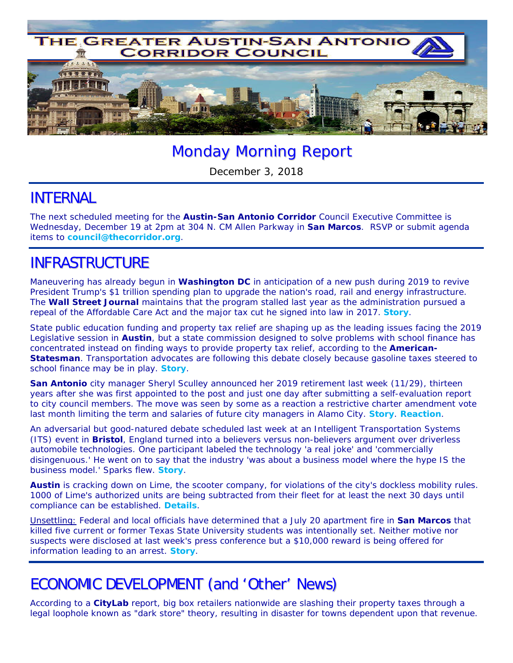

# Monday Morning Report

December 3, 2018

#### INTERNAL

The next scheduled meeting for the **Austin-San Antonio Corridor** Council Executive Committee is Wednesday, December 19 at 2pm at 304 N. CM Allen Parkway in **San Marcos**. RSVP or submit agenda items to **council@thecorridor.org**.

### INFRASTRUCTURE

Maneuvering has already begun in **Washington DC** in anticipation of a new push during 2019 to revive President Trump's \$1 trillion spending plan to upgrade the nation's road, rail and energy infrastructure. The *Wall Street Journal* maintains that the program stalled last year as the administration pursued a repeal of the Affordable Care Act and the major tax cut he signed into law in 2017. *Story*.

State public education funding and property tax relief are shaping up as the leading issues facing the 2019 Legislative session in **Austin**, but a state commission designed to solve problems with school finance has concentrated instead on finding ways to provide property tax relief, according to the *American-Statesman*. Transportation advocates are following this debate closely because gasoline taxes steered to school finance may be in play. *Story*.

**San Antonio** city manager Sheryl Sculley announced her 2019 retirement last week (11/29), thirteen years after she was first appointed to the post and just one day after submitting a self-evaluation report to city council members. The move was seen by some as a reaction a restrictive charter amendment vote last month limiting the term and salaries of future city managers in Alamo City. *Story*. *Reaction*.

An adversarial but good-natured debate scheduled last week at an Intelligent Transportation Systems (ITS) event in **Bristol**, England turned into a believers versus non-believers argument over driverless automobile technologies. One participant labeled the technology 'a real joke' and 'commercially disingenuous.' He went on to say that the industry 'was about a business model where the hype IS the business model.' Sparks flew. *Story.*

**Austin** is cracking down on Lime, the scooter company, for violations of the city's dockless mobility rules. 1000 of Lime's authorized units are being subtracted from their fleet for at least the next 30 days until compliance can be established. *Details*.

Unsettling: Federal and local officials have determined that a July 20 apartment fire in **San Marcos** that killed five current or former Texas State University students was intentionally set. Neither motive nor suspects were disclosed at last week's press conference but a \$10,000 reward is being offered for information leading to an arrest. *Story*.

## ECONOMIC DEVELOPMENT (and 'Other' News)

According to a *CityLab* report, big box retailers nationwide are slashing their property taxes through a legal loophole known as "dark store" theory, resulting in disaster for towns dependent upon that revenue.